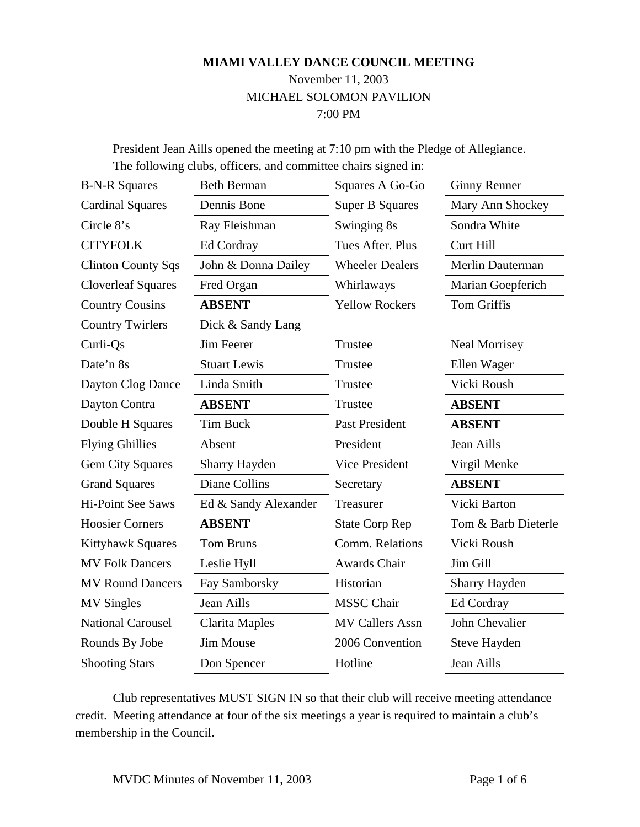#### **MIAMI VALLEY DANCE COUNCIL MEETING**

## November 11, 2003 MICHAEL SOLOMON PAVILION 7:00 PM

President Jean Aills opened the meeting at 7:10 pm with the Pledge of Allegiance. The following clubs, officers, and committee chairs signed in:

| <b>B-N-R Squares</b>      | <b>Beth Berman</b>   | Squares A Go-Go        | <b>Ginny Renner</b>  |
|---------------------------|----------------------|------------------------|----------------------|
| <b>Cardinal Squares</b>   | Dennis Bone          | <b>Super B Squares</b> | Mary Ann Shockey     |
| Circle 8's                | Ray Fleishman        | Swinging 8s            | Sondra White         |
| <b>CITYFOLK</b>           | Ed Cordray           | Tues After, Plus       | Curt Hill            |
| <b>Clinton County Sqs</b> | John & Donna Dailey  | <b>Wheeler Dealers</b> | Merlin Dauterman     |
| <b>Cloverleaf Squares</b> | Fred Organ           | Whirlaways             | Marian Goepferich    |
| <b>Country Cousins</b>    | <b>ABSENT</b>        | <b>Yellow Rockers</b>  | <b>Tom Griffis</b>   |
| <b>Country Twirlers</b>   | Dick & Sandy Lang    |                        |                      |
| Curli-Qs                  | Jim Feerer           | Trustee                | Neal Morrisey        |
| Date'n 8s                 | <b>Stuart Lewis</b>  | Trustee                | Ellen Wager          |
| Dayton Clog Dance         | Linda Smith          | Trustee                | Vicki Roush          |
| Dayton Contra             | <b>ABSENT</b>        | Trustee                | <b>ABSENT</b>        |
| Double H Squares          | Tim Buck             | <b>Past President</b>  | <b>ABSENT</b>        |
| <b>Flying Ghillies</b>    | Absent               | President              | Jean Aills           |
| <b>Gem City Squares</b>   | Sharry Hayden        | <b>Vice President</b>  | Virgil Menke         |
| <b>Grand Squares</b>      | Diane Collins        | Secretary              | <b>ABSENT</b>        |
| <b>Hi-Point See Saws</b>  | Ed & Sandy Alexander | Treasurer              | Vicki Barton         |
| <b>Hoosier Corners</b>    | <b>ABSENT</b>        | <b>State Corp Rep</b>  | Tom & Barb Dieterle  |
| <b>Kittyhawk Squares</b>  | <b>Tom Bruns</b>     | Comm. Relations        | Vicki Roush          |
| <b>MV Folk Dancers</b>    | Leslie Hyll          | Awards Chair           | Jim Gill             |
| <b>MV Round Dancers</b>   | Fay Samborsky        | Historian              | <b>Sharry Hayden</b> |
| <b>MV Singles</b>         | Jean Aills           | <b>MSSC</b> Chair      | Ed Cordray           |
| <b>National Carousel</b>  | Clarita Maples       | <b>MV Callers Assn</b> | John Chevalier       |
| Rounds By Jobe            | Jim Mouse            | 2006 Convention        | Steve Hayden         |
| <b>Shooting Stars</b>     | Don Spencer          | Hotline                | Jean Aills           |

Club representatives MUST SIGN IN so that their club will receive meeting attendance credit. Meeting attendance at four of the six meetings a year is required to maintain a club's membership in the Council.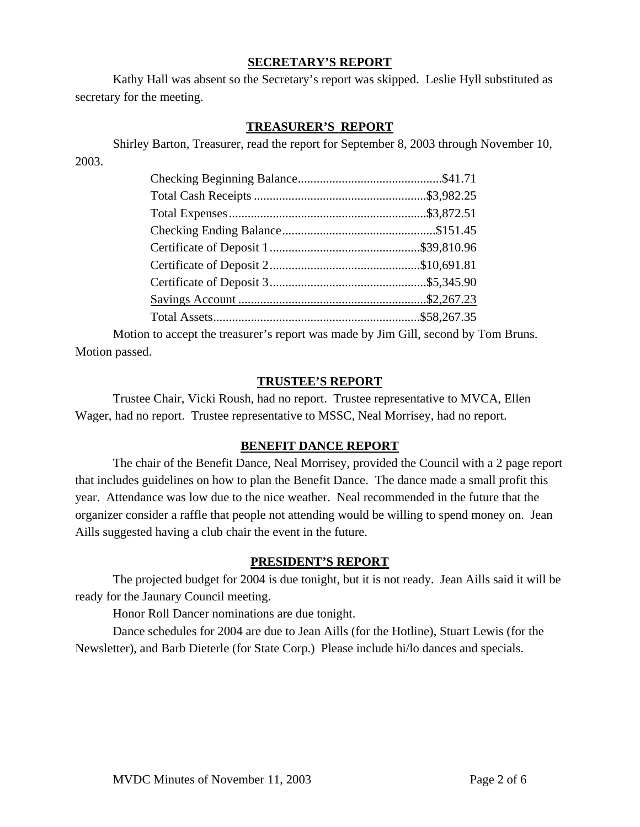#### **SECRETARY'S REPORT**

Kathy Hall was absent so the Secretary's report was skipped. Leslie Hyll substituted as secretary for the meeting.

## **TREASURER'S REPORT**

Shirley Barton, Treasurer, read the report for September 8, 2003 through November 10,

2003.

Motion to accept the treasurer's report was made by Jim Gill, second by Tom Bruns. Motion passed.

#### **TRUSTEE'S REPORT**

Trustee Chair, Vicki Roush, had no report. Trustee representative to MVCA, Ellen Wager, had no report. Trustee representative to MSSC, Neal Morrisey, had no report.

#### **BENEFIT DANCE REPORT**

The chair of the Benefit Dance, Neal Morrisey, provided the Council with a 2 page report that includes guidelines on how to plan the Benefit Dance. The dance made a small profit this year. Attendance was low due to the nice weather. Neal recommended in the future that the organizer consider a raffle that people not attending would be willing to spend money on. Jean Aills suggested having a club chair the event in the future.

#### **PRESIDENT'S REPORT**

The projected budget for 2004 is due tonight, but it is not ready. Jean Aills said it will be ready for the Jaunary Council meeting.

Honor Roll Dancer nominations are due tonight.

Dance schedules for 2004 are due to Jean Aills (for the Hotline), Stuart Lewis (for the Newsletter), and Barb Dieterle (for State Corp.) Please include hi/lo dances and specials.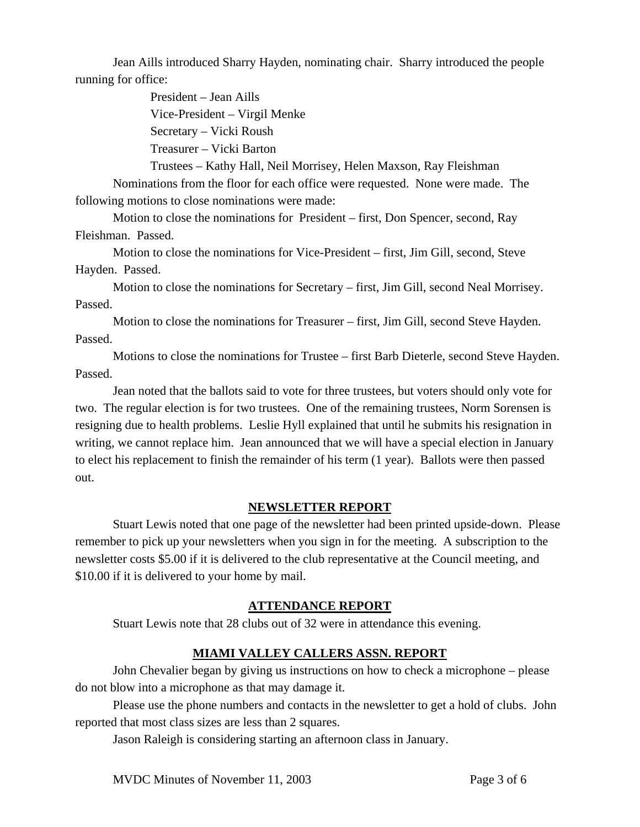Jean Aills introduced Sharry Hayden, nominating chair. Sharry introduced the people running for office:

> President – Jean Aills Vice-President – Virgil Menke Secretary – Vicki Roush Treasurer – Vicki Barton

Trustees – Kathy Hall, Neil Morrisey, Helen Maxson, Ray Fleishman

Nominations from the floor for each office were requested. None were made. The following motions to close nominations were made:

Motion to close the nominations for President – first, Don Spencer, second, Ray Fleishman. Passed.

Motion to close the nominations for Vice-President – first, Jim Gill, second, Steve Hayden. Passed.

Motion to close the nominations for Secretary – first, Jim Gill, second Neal Morrisey. Passed.

Motion to close the nominations for Treasurer – first, Jim Gill, second Steve Hayden. Passed.

Motions to close the nominations for Trustee – first Barb Dieterle, second Steve Hayden. Passed.

Jean noted that the ballots said to vote for three trustees, but voters should only vote for two. The regular election is for two trustees. One of the remaining trustees, Norm Sorensen is resigning due to health problems. Leslie Hyll explained that until he submits his resignation in writing, we cannot replace him. Jean announced that we will have a special election in January to elect his replacement to finish the remainder of his term (1 year). Ballots were then passed out.

## **NEWSLETTER REPORT**

Stuart Lewis noted that one page of the newsletter had been printed upside-down. Please remember to pick up your newsletters when you sign in for the meeting. A subscription to the newsletter costs \$5.00 if it is delivered to the club representative at the Council meeting, and \$10.00 if it is delivered to your home by mail.

#### **ATTENDANCE REPORT**

Stuart Lewis note that 28 clubs out of 32 were in attendance this evening.

## **MIAMI VALLEY CALLERS ASSN. REPORT**

John Chevalier began by giving us instructions on how to check a microphone – please do not blow into a microphone as that may damage it.

Please use the phone numbers and contacts in the newsletter to get a hold of clubs. John reported that most class sizes are less than 2 squares.

Jason Raleigh is considering starting an afternoon class in January.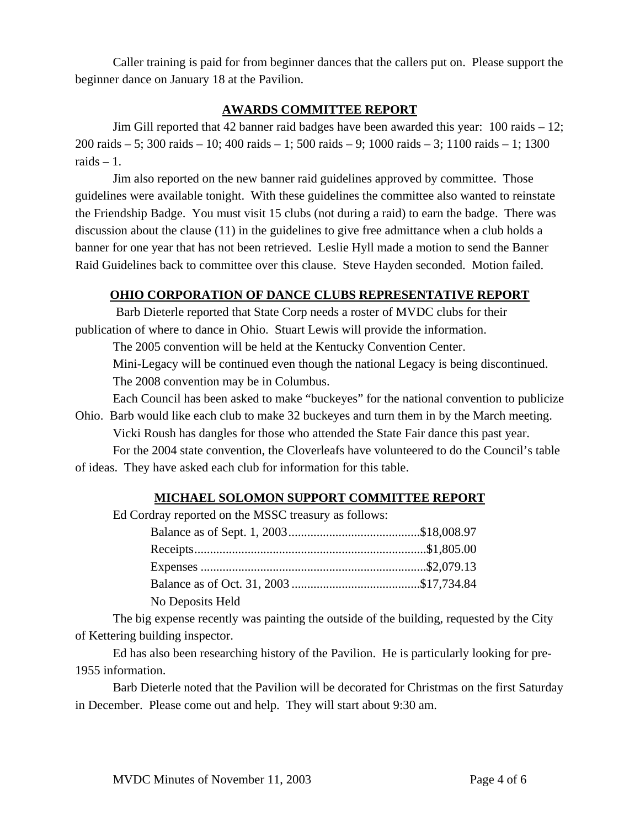Caller training is paid for from beginner dances that the callers put on. Please support the beginner dance on January 18 at the Pavilion.

## **AWARDS COMMITTEE REPORT**

Jim Gill reported that 42 banner raid badges have been awarded this year: 100 raids – 12; 200 raids – 5; 300 raids – 10; 400 raids – 1; 500 raids – 9; 1000 raids – 3; 1100 raids – 1; 1300 raids  $-1$ .

Jim also reported on the new banner raid guidelines approved by committee. Those guidelines were available tonight. With these guidelines the committee also wanted to reinstate the Friendship Badge. You must visit 15 clubs (not during a raid) to earn the badge. There was discussion about the clause (11) in the guidelines to give free admittance when a club holds a banner for one year that has not been retrieved. Leslie Hyll made a motion to send the Banner Raid Guidelines back to committee over this clause. Steve Hayden seconded. Motion failed.

## **OHIO CORPORATION OF DANCE CLUBS REPRESENTATIVE REPORT**

 Barb Dieterle reported that State Corp needs a roster of MVDC clubs for their publication of where to dance in Ohio. Stuart Lewis will provide the information.

The 2005 convention will be held at the Kentucky Convention Center.

Mini-Legacy will be continued even though the national Legacy is being discontinued. The 2008 convention may be in Columbus.

Each Council has been asked to make "buckeyes" for the national convention to publicize Ohio. Barb would like each club to make 32 buckeyes and turn them in by the March meeting.

Vicki Roush has dangles for those who attended the State Fair dance this past year.

For the 2004 state convention, the Cloverleafs have volunteered to do the Council's table of ideas. They have asked each club for information for this table.

## **MICHAEL SOLOMON SUPPORT COMMITTEE REPORT**

Ed Cordray reported on the MSSC treasury as follows:

| No Deposits Held |  |
|------------------|--|

The big expense recently was painting the outside of the building, requested by the City of Kettering building inspector.

Ed has also been researching history of the Pavilion. He is particularly looking for pre-1955 information.

Barb Dieterle noted that the Pavilion will be decorated for Christmas on the first Saturday in December. Please come out and help. They will start about 9:30 am.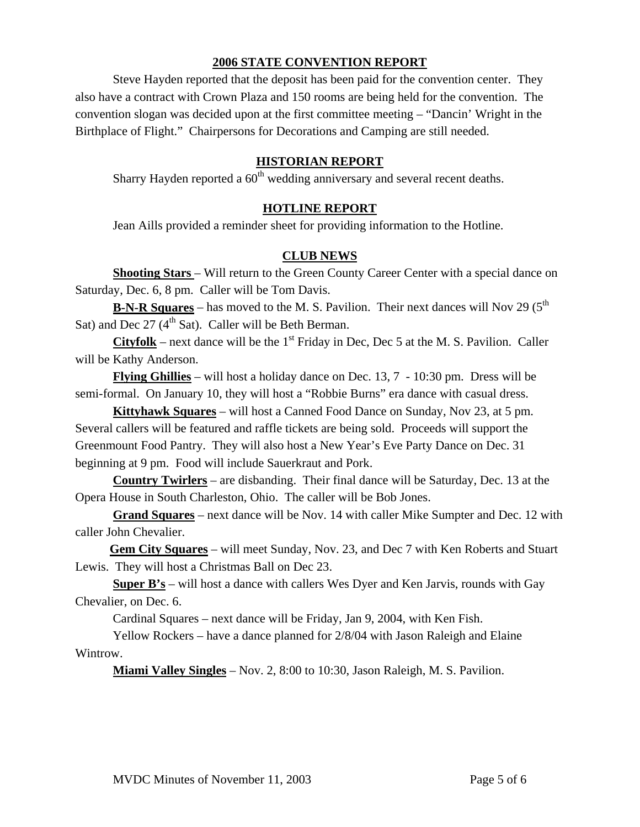#### **2006 STATE CONVENTION REPORT**

Steve Hayden reported that the deposit has been paid for the convention center. They also have a contract with Crown Plaza and 150 rooms are being held for the convention. The convention slogan was decided upon at the first committee meeting – "Dancin' Wright in the Birthplace of Flight." Chairpersons for Decorations and Camping are still needed.

## **HISTORIAN REPORT**

Sharry Hayden reported a  $60<sup>th</sup>$  wedding anniversary and several recent deaths.

### **HOTLINE REPORT**

Jean Aills provided a reminder sheet for providing information to the Hotline.

### **CLUB NEWS**

**Shooting Stars** – Will return to the Green County Career Center with a special dance on Saturday, Dec. 6, 8 pm. Caller will be Tom Davis.

**B-N-R Squares** – has moved to the M. S. Pavilion. Their next dances will Nov 29 ( $5<sup>th</sup>$ Sat) and Dec  $27 \, (4^{\text{th}} \, \text{Sat})$ . Caller will be Beth Berman.

**Cityfolk** – next dance will be the  $1<sup>st</sup>$  Friday in Dec, Dec 5 at the M. S. Pavilion. Caller will be Kathy Anderson.

**Flying Ghillies** – will host a holiday dance on Dec. 13, 7 - 10:30 pm. Dress will be semi-formal. On January 10, they will host a "Robbie Burns" era dance with casual dress.

 **Kittyhawk Squares** – will host a Canned Food Dance on Sunday, Nov 23, at 5 pm. Several callers will be featured and raffle tickets are being sold. Proceeds will support the Greenmount Food Pantry. They will also host a New Year's Eve Party Dance on Dec. 31 beginning at 9 pm. Food will include Sauerkraut and Pork.

**Country Twirlers** – are disbanding. Their final dance will be Saturday, Dec. 13 at the Opera House in South Charleston, Ohio. The caller will be Bob Jones.

**Grand Squares** – next dance will be Nov. 14 with caller Mike Sumpter and Dec. 12 with caller John Chevalier.

 **Gem City Squares** – will meet Sunday, Nov. 23, and Dec 7 with Ken Roberts and Stuart Lewis. They will host a Christmas Ball on Dec 23.

**Super B's** – will host a dance with callers Wes Dyer and Ken Jarvis, rounds with Gay Chevalier, on Dec. 6.

Cardinal Squares – next dance will be Friday, Jan 9, 2004, with Ken Fish.

Yellow Rockers – have a dance planned for 2/8/04 with Jason Raleigh and Elaine Wintrow.

**Miami Valley Singles** – Nov. 2, 8:00 to 10:30, Jason Raleigh, M. S. Pavilion.